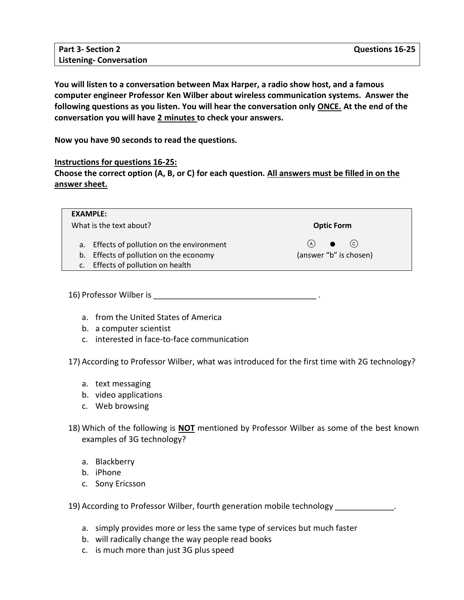| <b>Part 3- Section 2</b>      | <b>Questions 16-25</b> |
|-------------------------------|------------------------|
| <b>Listening-Conversation</b> |                        |

**You will listen to a conversation between Max Harper, a radio show host, and a famous computer engineer Professor Ken Wilber about wireless communication systems. Answer the following questions as you listen. You will hear the conversation only ONCE. At the end of the conversation you will have 2 minutes to check your answers.**

**Now you have 90 seconds to read the questions.** 

## **Instructions for questions 16-25:**

**Choose the correct option (A, B, or C) for each question. All answers must be filled in on the answer sheet.**

| <b>EXAMPLE:</b>                                  |                        |
|--------------------------------------------------|------------------------|
| What is the text about?                          | <b>Optic Form</b>      |
| a. Effects of pollution on the environment       | (c)<br>(A)             |
| Effects of pollution on the economy<br>b.        | (answer "b" is chosen) |
| Effects of pollution on health<br>$\mathsf{C}$ . |                        |

16) Professor Wilber is \_\_\_\_\_\_\_\_\_\_\_\_\_\_\_\_\_\_\_\_\_\_\_\_\_\_\_\_\_\_\_\_\_\_\_\_ .

- a. from the United States of America
- b. a computer scientist
- c. interested in face-to-face communication

17) According to Professor Wilber, what was introduced for the first time with 2G technology?

- a. text messaging
- b. video applications
- c. Web browsing
- 18) Which of the following is **NOT** mentioned by Professor Wilber as some of the best known examples of 3G technology?
	- a. Blackberry
	- b. iPhone
	- c. Sony Ericsson

19) According to Professor Wilber, fourth generation mobile technology entitled to Professor Wilber, fourth generation mobile technology

- a. simply provides more or less the same type of services but much faster
- b. will radically change the way people read books
- c. is much more than just 3G plus speed